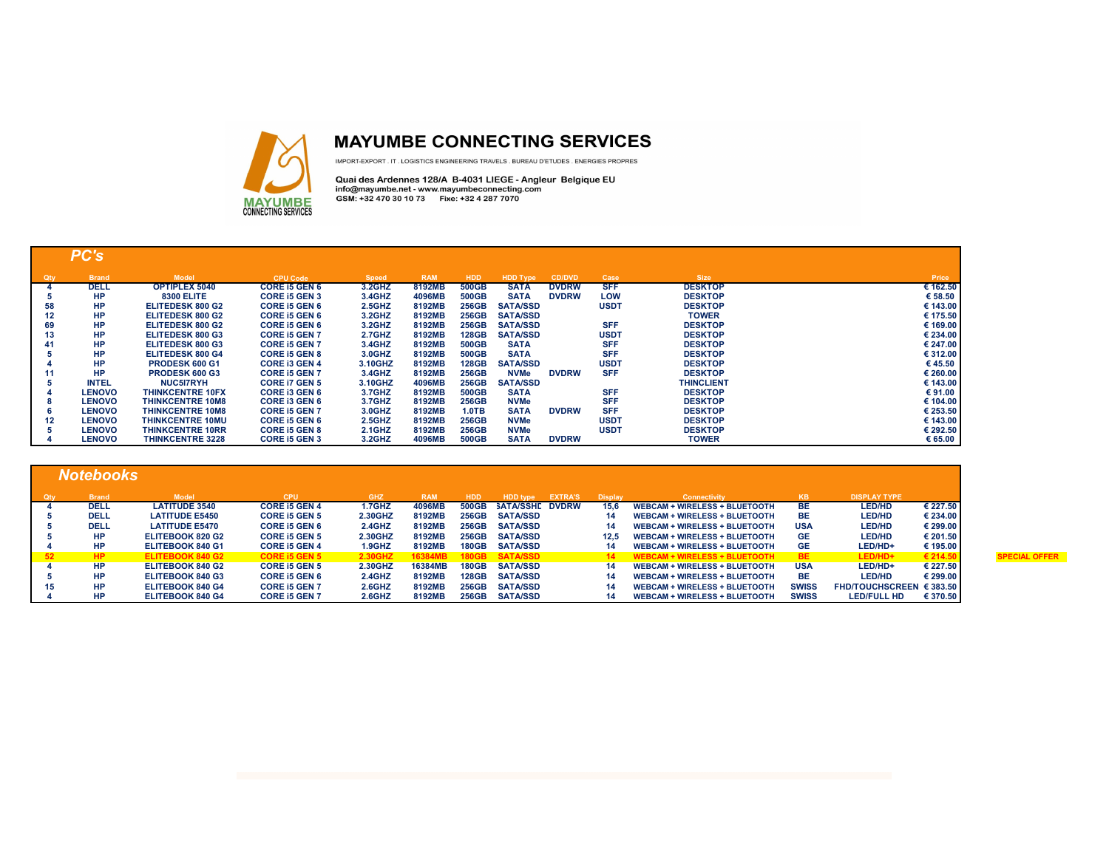

## **MAYUMBE CONNECTING SERVICES**

IMPORT-EXPORT. IT. LOGISTICS ENGINEERING TRAVELS. BUREAU D'ETUDES. ENERGIES PROPRES

Quai des Ardennes 128/A B-4031 LIEGE - Angleur Belgique EU<br>info@mayumbe.net - www.mayumbeconnecting.com<br>GSM: +32 470 30 10 73 Fixe: +32 4 287 7070

|                   | PC's          |                         |                      |              |            |              |                 |              |             |                   |          |
|-------------------|---------------|-------------------------|----------------------|--------------|------------|--------------|-----------------|--------------|-------------|-------------------|----------|
| Qty               | <b>Brand</b>  | <b>Model</b>            | <b>CPU Code</b>      | <b>Speed</b> | <b>RAM</b> | <b>HDD</b>   | <b>HDD Type</b> | CD/DVD       | Case        | <b>Size</b>       | Price    |
|                   | <b>DELL</b>   | <b>OPTIPLEX 5040</b>    | <b>CORE I5 GEN 6</b> | 3.2GHZ       | 8192MB     | 500GB        | <b>SATA</b>     | <b>DVDRW</b> | <b>SFF</b>  | <b>DESKTOP</b>    | € 162.50 |
|                   | <b>HP</b>     | <b>8300 ELITE</b>       | <b>CORE I5 GEN 3</b> | 3.4GHZ       | 4096MB     | 500GB        | <b>SATA</b>     | <b>DVDRW</b> | LOW         | <b>DESKTOP</b>    | € 58.50  |
| 58                | <b>HP</b>     | ELITEDESK 800 G2        | <b>CORE I5 GEN 6</b> | 2.5GHZ       | 8192MB     | 256GB        | <b>SATA/SSD</b> |              | <b>USDT</b> | <b>DESKTOP</b>    | € 143.00 |
| 12                | <b>HP</b>     | ELITEDESK 800 G2        | <b>CORE I5 GEN 6</b> | 3.2GHZ       | 8192MB     | 256GB        | <b>SATA/SSD</b> |              |             | <b>TOWER</b>      | € 175.50 |
| 69                | <b>HP</b>     | ELITEDESK 800 G2        | <b>CORE I5 GEN 6</b> | 3.2GHZ       | 8192MB     | 256GB        | <b>SATA/SSD</b> |              | <b>SFF</b>  | <b>DESKTOP</b>    | € 169.00 |
| 13                | <b>HP</b>     | ELITEDESK 800 G3        | <b>CORE I5 GEN 7</b> | 2.7GHZ       | 8192MB     | <b>128GB</b> | <b>SATA/SSD</b> |              | <b>USDT</b> | <b>DESKTOP</b>    | € 234.00 |
| 41                | <b>HP</b>     | ELITEDESK 800 G3        | <b>CORE I5 GEN 7</b> | 3.4GHZ       | 8192MB     | 500GB        | <b>SATA</b>     |              | <b>SFF</b>  | <b>DESKTOP</b>    | € 247.00 |
|                   | <b>HP</b>     | ELITEDESK 800 G4        | <b>CORE I5 GEN 8</b> | 3.0GHZ       | 8192MB     | 500GB        | <b>SATA</b>     |              | <b>SFF</b>  | <b>DESKTOP</b>    | € 312.00 |
|                   | <b>HP</b>     | PRODESK 600 G1          | <b>CORE I3 GEN 4</b> | 3.10GHZ      | 8192MB     | <b>128GB</b> | <b>SATA/SSD</b> |              | <b>USDT</b> | <b>DESKTOP</b>    | € 45.50  |
|                   | <b>HP</b>     | <b>PRODESK 600 G3</b>   | CORE I5 GEN 7        | 3.4GHZ       | 8192MB     | 256GB        | <b>NVMe</b>     | <b>DVDRW</b> | <b>SFF</b>  | <b>DESKTOP</b>    | € 260.00 |
| 5                 | <b>INTEL</b>  | <b>NUC5I7RYH</b>        | <b>CORE 17 GEN 5</b> | 3.10GHZ      | 4096MB     | 256GB        | <b>SATA/SSD</b> |              |             | <b>THINCLIENT</b> | € 143.00 |
|                   | <b>LENOVO</b> | <b>THINKCENTRE 10FX</b> | <b>CORE I3 GEN 6</b> | 3.7GHZ       | 8192MB     | 500GB        | <b>SATA</b>     |              | <b>SFF</b>  | <b>DESKTOP</b>    | € 91.00  |
| 8                 | <b>LENOVO</b> | <b>THINKCENTRE 10M8</b> | <b>CORE I3 GEN 6</b> | 3.7GHZ       | 8192MB     | 256GB        | <b>NVMe</b>     |              | <b>SFF</b>  | <b>DESKTOP</b>    | € 104.00 |
| 6                 | <b>LENOVO</b> | <b>THINKCENTRE 10M8</b> | <b>CORE I5 GEN 7</b> | 3.0GHZ       | 8192MB     | $1.0$ TB     | <b>SATA</b>     | <b>DVDRW</b> | <b>SFF</b>  | <b>DESKTOP</b>    | € 253.50 |
| $12 \overline{ }$ | <b>LENOVO</b> | <b>THINKCENTRE 10MU</b> | <b>CORE I5 GEN 6</b> | 2.5GHZ       | 8192MB     | 256GB        | <b>NVMe</b>     |              | <b>USDT</b> | <b>DESKTOP</b>    | € 143.00 |
| 5                 | <b>LENOVO</b> | <b>THINKCENTRE 10RR</b> | <b>CORE I5 GEN 8</b> | $2.1$ GHZ    | 8192MB     | 256GB        | <b>NVMe</b>     |              | <b>USDT</b> | <b>DESKTOP</b>    | € 292.50 |
|                   | <b>LENOVO</b> | <b>THINKCENTRE 3228</b> | <b>CORE I5 GEN 3</b> | 3.2GHZ       | 4096MB     | 500GB        | <b>SATA</b>     | <b>DVDRW</b> |             | <b>TOWER</b>      | € 65.00  |

|     | <b>Notebooks</b> |              |                         |                      |               |            |              |                         |                |                                      |              |                                   |          |
|-----|------------------|--------------|-------------------------|----------------------|---------------|------------|--------------|-------------------------|----------------|--------------------------------------|--------------|-----------------------------------|----------|
| Qtv |                  | <b>Brand</b> | <b>Model</b>            | <b>CPU</b>           | <b>GHZ</b>    | <b>RAM</b> | HDD          | <b>HDD type EXTRA'S</b> | <b>Display</b> | <b>Connectivity</b>                  | KB.          | <b>DISPLAY TYPE</b>               |          |
|     | DELL             |              | <b>LATITUDE 3540</b>    | <b>CORE I5 GEN 4</b> | <b>1.7GHZ</b> | 4096MB     | 500GB        | SATA/SSHE DVDRW         | 15.6           | <b>WEBCAM + WIRELESS + BLUETOOTH</b> | BE.          | <b>LED/HD</b>                     | € 227.50 |
|     |                  | <b>DELL</b>  | <b>LATITUDE E5450</b>   | CORE I5 GEN 5        | 2.30GHZ       | 8192MB     | 256GB        | <b>SATA/SSD</b>         | 14             | <b>WEBCAM + WIRELESS + BLUETOOTH</b> | BE.          | <b>LED/HD</b>                     | € 234.00 |
|     |                  | <b>DELL</b>  | <b>LATITUDE E5470</b>   | CORE I5 GEN 6        | $2.4$ GHZ     | 8192MB     | 256GB        | <b>SATA/SSD</b>         | 14             | <b>WEBCAM + WIRELESS + BLUETOOTH</b> | <b>USA</b>   | <b>LED/HD</b>                     | € 299.00 |
|     |                  | <b>HP</b>    | ELITEBOOK 820 G2        | CORE I5 GEN 5        | 2.30GHZ       | 8192MB     | 256GB        | <b>SATA/SSD</b>         | 12.5           | <b>WEBCAM + WIRELESS + BLUETOOTH</b> | GE.          | <b>LED/HD</b>                     | € 201.50 |
|     |                  | HP           | ELITEBOOK 840 G1        | <b>CORE I5 GEN 4</b> | 1.9GHZ        | 8192MB     | <b>180GB</b> | <b>SATA/SSD</b>         | 14             | <b>WEBCAM + WIRELESS + BLUETOOTH</b> | <b>GE</b>    | LED/HD+                           | € 195.00 |
| 52  |                  | <b>HP</b>    | ELITEBOOK 840 G2        | <b>CORE IS GEN 5</b> | 2.30GHZ       | 638        |              |                         |                | /FRCAM + WIRFI FSS + RI UFTOOTH      | <b>BE</b>    | LED/HD+                           | € 214.50 |
|     |                  | <b>HP</b>    | ELITEBOOK 840 G2        | <b>CORE I5 GEN 5</b> | 2.30GHZ       | 16384MB    | <b>180GB</b> | <b>SATA/SSD</b>         | 14.            | <b>WEBCAM + WIRELESS + BLUETOOTH</b> | <b>USA</b>   | LED/HD+                           | € 227.50 |
|     |                  | <b>HP</b>    | ELITEBOOK 840 G3        | CORE I5 GEN 6        | $2.4$ GHZ     | 8192MB     | 128GB        | <b>SATA/SSD</b>         | 14.            | <b>WEBCAM + WIRELESS + BLUETOOTH</b> | <b>BE</b>    | <b>LED/HD</b>                     | € 299.00 |
| 15  |                  | <b>HP</b>    | ELITEBOOK 840 G4        | <b>CORE I5 GEN 7</b> | $2.6$ GHZ     | 8192MB     | 256GB        | <b>SATA/SSD</b>         | 14.            | <b>WEBCAM + WIRELESS + BLUETOOTH</b> | <b>SWISS</b> | FHD/TOUCHSCREEN $\epsilon$ 383.50 |          |
|     |                  | <b>HP</b>    | <b>ELITEBOOK 840 G4</b> | <b>CORE I5 GEN 7</b> | 2.6GHZ        | 8192MB     | 256GB        | <b>SATA/SSD</b>         | 14.            | <b>WEBCAM + WIRELESS + BLUETOOTH</b> | <b>SWISS</b> | <b>LED/FULL HD</b>                | € 370.50 |